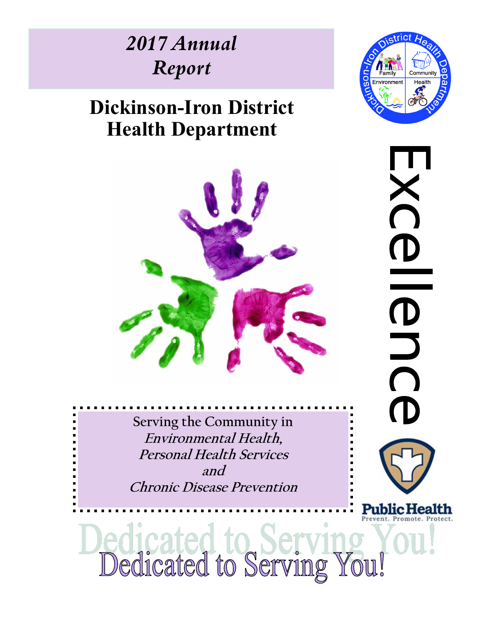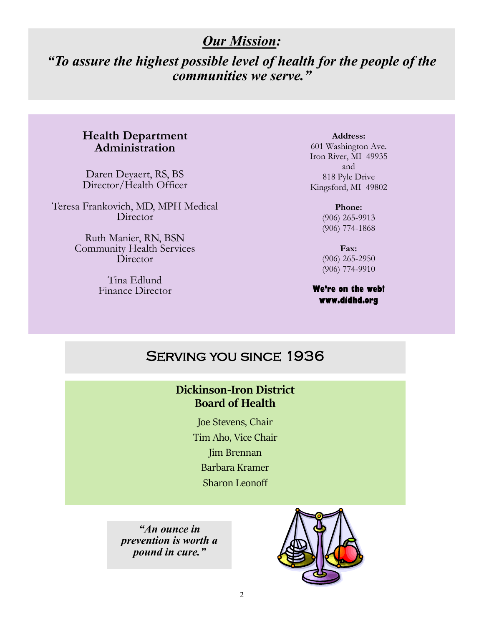### *Our Mission:*

## *"To assure the highest possible level of health for the people of the communities we serve."*

### **Health Department Administration**

Daren Deyaert, RS, BS Director/Health Officer

Teresa Frankovich, MD, MPH Medical **Director** 

> Ruth Manier, RN, BSN Community Health Services Director

> > Tina Edlund Finance Director

**Address:** 601 Washington Ave. Iron River, MI 49935 and 818 Pyle Drive Kingsford, MI 49802

> **Phone:**  (906) 265-9913 (906) 774-1868

**Fax:**  (906) 265-2950 (906) 774-9910

#### **We're on the web! www.didhd.org**

### Serving you since 1936

### **Dickinson-Iron District Board of Health**

Joe Stevens, Chair Tim Aho, Vice Chair Jim Brennan Barbara Kramer Sharon Leonoff

*"An ounce in prevention is worth a pound in cure."* 

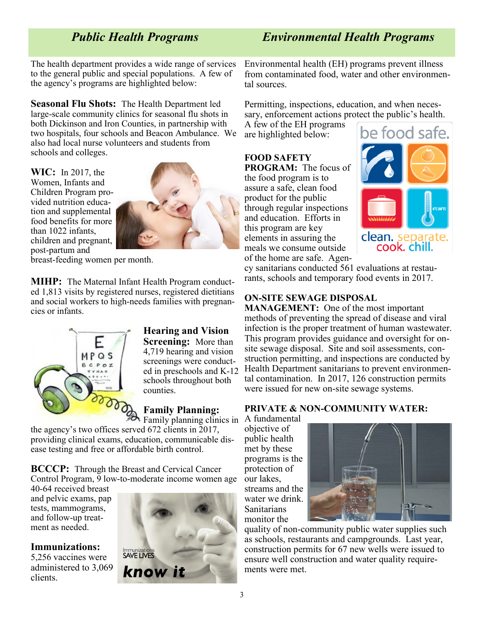*Public Health Programs Environmental Health Programs*

The health department provides a wide range of services to the general public and special populations. A few of the agency's programs are highlighted below:

**Seasonal Flu Shots:** The Health Department led large-scale community clinics for seasonal flu shots in both Dickinson and Iron Counties, in partnership with two hospitals, four schools and Beacon Ambulance. We also had local nurse volunteers and students from schools and colleges.

**WIC:** In 2017, the Women, Infants and Children Program provided nutrition education and supplemental food benefits for more than 1022 infants, children and pregnant, post-partum and



breast-feeding women per month.

**MIHP:** The Maternal Infant Health Program conducted 1,813 visits by registered nurses, registered dietitians and social workers to high-needs families with pregnancies or infants.



**Hearing and Vision Screening:** More than 4,719 hearing and vision screenings were conducted in preschools and K-12 schools throughout both counties.

### **Family Planning:**

Family planning clinics in the agency's two offices served 672 clients in 2017, providing clinical exams, education, communicable disease testing and free or affordable birth control.

**BCCCP:** Through the Breast and Cervical Cancer Control Program,  $\overline{9}$  low-to-moderate income women age

40-64 received breast and pelvic exams, pap tests, mammograms, and follow-up treatment as needed.

#### **Immunizations:**

5,256 vaccines were administered to 3,069 clients.



Environmental health (EH) programs prevent illness from contaminated food, water and other environmental sources.

Permitting, inspections, education, and when necessary, enforcement actions protect the public's health.

A few of the EH programs are highlighted below:

**FOOD SAFETY PROGRAM:** The focus of the food program is to assure a safe, clean food product for the public through regular inspections and education. Efforts in this program are key elements in assuring the meals we consume outside of the home are safe. Agen-



cy sanitarians conducted 561 evaluations at restaurants, schools and temporary food events in 2017.

### **ON-SITE SEWAGE DISPOSAL**

**MANAGEMENT:** One of the most important methods of preventing the spread of disease and viral infection is the proper treatment of human wastewater. This program provides guidance and oversight for onsite sewage disposal. Site and soil assessments, construction permitting, and inspections are conducted by Health Department sanitarians to prevent environmental contamination. In 2017, 126 construction permits were issued for new on-site sewage systems.

#### **PRIVATE & NON-COMMUNITY WATER:**

A fundamental objective of public health met by these programs is the protection of our lakes, streams and the water we drink. Sanitarians monitor the



quality of non-community public water supplies such as schools, restaurants and campgrounds. Last year, construction permits for 67 new wells were issued to ensure well construction and water quality requirements were met.